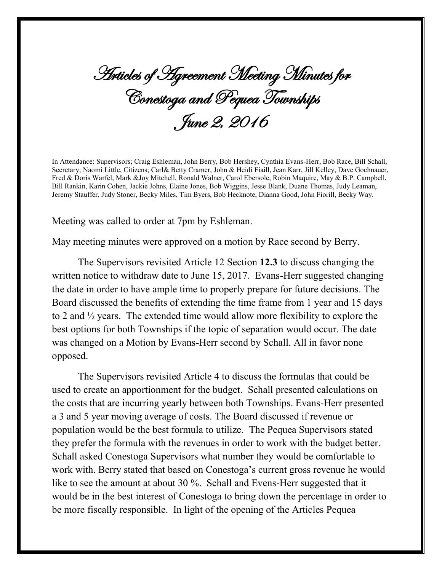Articles of Agreement Meeting Minutes for Conestoga and Pequea Townships June 2, 2016

In Attendance: Supervisors; Craig Eshleman, John Berry, Bob Hershey, Cynthia Evans-Herr, Bob Race, Bill Schall, Secretary; Naomi Little, Citizens; Carl& Betty Cramer, John & Heidi Fiaill, Jean Karr, Jill Kelley, Dave Gochnauer, Fred & Doris Warfel, Mark &Joy Mitchell, Ronald Walner, Carol Ebersole, Robin Maquire, May & B.P. Campbell, Bill Rankin, Karin Cohen, Jackie Johns, Elaine Jones, Bob Wiggins, Jesse Blank, Duane Thomas, Judy Leaman, Jeremy Stauffer, Judy Stoner, Becky Miles, Tim Byers, Bob Hecknote, Dianna Good, John Fiorill, Becky Way.

Meeting was called to order at 7pm by Eshleman.

May meeting minutes were approved on a motion by Race second by Berry.

The Supervisors revisited Article 12 Section **12.3** to discuss changing the written notice to withdraw date to June 15, 2017. Evans-Herr suggested changing the date in order to have ample time to properly prepare for future decisions. The Board discussed the benefits of extending the time frame from 1 year and 15 days to 2 and ½ years. The extended time would allow more flexibility to explore the best options for both Townships if the topic of separation would occur. The date was changed on a Motion by Evans-Herr second by Schall. All in favor none opposed.

The Supervisors revisited Article 4 to discuss the formulas that could be used to create an apportionment for the budget. Schall presented calculations on the costs that are incurring yearly between both Townships. Evans-Herr presented a 3 and 5 year moving average of costs. The Board discussed if revenue or population would be the best formula to utilize. The Pequea Supervisors stated they prefer the formula with the revenues in order to work with the budget better. Schall asked Conestoga Supervisors what number they would be comfortable to work with. Berry stated that based on Conestoga's current gross revenue he would like to see the amount at about 30 %. Schall and Evens-Herr suggested that it would be in the best interest of Conestoga to bring down the percentage in order to be more fiscally responsible. In light of the opening of the Articles Pequea